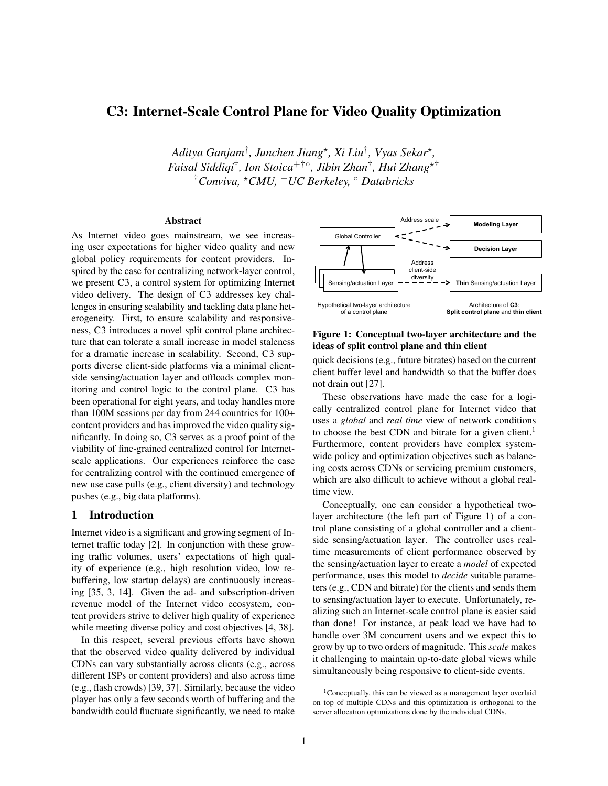# C3: Internet-Scale Control Plane for Video Quality Optimization

*Aditya Ganjam*† *, Junchen Jiang*? *, Xi Liu*† *, Vyas Sekar*? *, Faisal Siddiqi*† *, Ion Stoica*+†◦ *, Jibin Zhan*† *, Hui Zhang*?† †*Conviva,* ?*CMU,* <sup>+</sup>*UC Berkeley,* ◦ *Databricks*

### Abstract

As Internet video goes mainstream, we see increasing user expectations for higher video quality and new global policy requirements for content providers. Inspired by the case for centralizing network-layer control, we present C3, a control system for optimizing Internet video delivery. The design of C3 addresses key challenges in ensuring scalability and tackling data plane heterogeneity. First, to ensure scalability and responsiveness, C3 introduces a novel split control plane architecture that can tolerate a small increase in model staleness for a dramatic increase in scalability. Second, C3 supports diverse client-side platforms via a minimal clientside sensing/actuation layer and offloads complex monitoring and control logic to the control plane. C3 has been operational for eight years, and today handles more than 100M sessions per day from 244 countries for 100+ content providers and has improved the video quality significantly. In doing so, C3 serves as a proof point of the viability of fine-grained centralized control for Internetscale applications. Our experiences reinforce the case for centralizing control with the continued emergence of new use case pulls (e.g., client diversity) and technology pushes (e.g., big data platforms).

### 1 Introduction

Internet video is a significant and growing segment of Internet traffic today [2]. In conjunction with these growing traffic volumes, users' expectations of high quality of experience (e.g., high resolution video, low rebuffering, low startup delays) are continuously increasing [35, 3, 14]. Given the ad- and subscription-driven revenue model of the Internet video ecosystem, content providers strive to deliver high quality of experience while meeting diverse policy and cost objectives [4, 38].

In this respect, several previous efforts have shown that the observed video quality delivered by individual CDNs can vary substantially across clients (e.g., across different ISPs or content providers) and also across time (e.g., flash crowds) [39, 37]. Similarly, because the video player has only a few seconds worth of buffering and the bandwidth could fluctuate significantly, we need to make



### Figure 1: Conceptual two-layer architecture and the ideas of split control plane and thin client

quick decisions (e.g., future bitrates) based on the current client buffer level and bandwidth so that the buffer does not drain out [27].

These observations have made the case for a logically centralized control plane for Internet video that uses a *global* and *real time* view of network conditions to choose the best CDN and bitrate for a given client.<sup>1</sup> Furthermore, content providers have complex systemwide policy and optimization objectives such as balancing costs across CDNs or servicing premium customers, which are also difficult to achieve without a global realtime view.

Conceptually, one can consider a hypothetical twolayer architecture (the left part of Figure 1) of a control plane consisting of a global controller and a clientside sensing/actuation layer. The controller uses realtime measurements of client performance observed by the sensing/actuation layer to create a *model* of expected performance, uses this model to *decide* suitable parameters (e.g., CDN and bitrate) for the clients and sends them to sensing/actuation layer to execute. Unfortunately, realizing such an Internet-scale control plane is easier said than done! For instance, at peak load we have had to handle over 3M concurrent users and we expect this to grow by up to two orders of magnitude. This *scale* makes it challenging to maintain up-to-date global views while simultaneously being responsive to client-side events.

<sup>1</sup>Conceptually, this can be viewed as a management layer overlaid on top of multiple CDNs and this optimization is orthogonal to the server allocation optimizations done by the individual CDNs.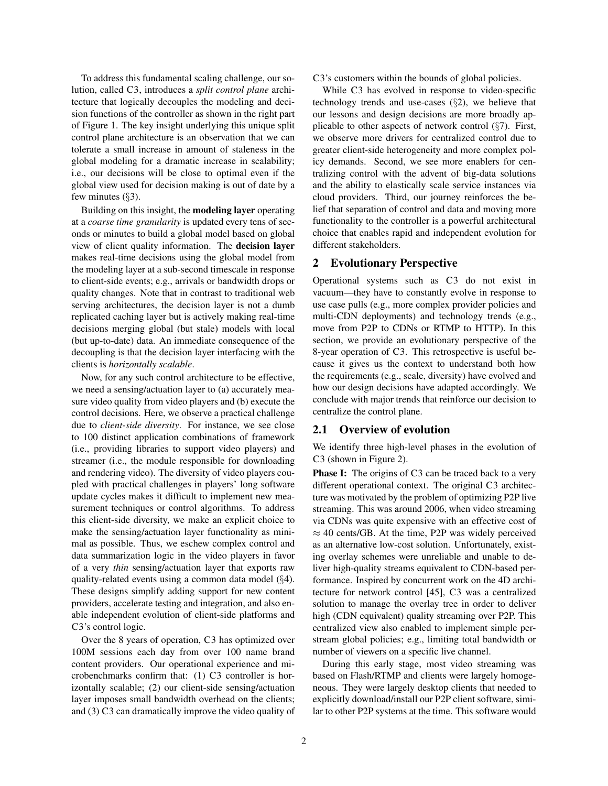To address this fundamental scaling challenge, our solution, called C3, introduces a *split control plane* architecture that logically decouples the modeling and decision functions of the controller as shown in the right part of Figure 1. The key insight underlying this unique split control plane architecture is an observation that we can tolerate a small increase in amount of staleness in the global modeling for a dramatic increase in scalability; i.e., our decisions will be close to optimal even if the global view used for decision making is out of date by a few minutes  $(\S3)$ .

Building on this insight, the modeling layer operating at a *coarse time granularity* is updated every tens of seconds or minutes to build a global model based on global view of client quality information. The decision layer makes real-time decisions using the global model from the modeling layer at a sub-second timescale in response to client-side events; e.g., arrivals or bandwidth drops or quality changes. Note that in contrast to traditional web serving architectures, the decision layer is not a dumb replicated caching layer but is actively making real-time decisions merging global (but stale) models with local (but up-to-date) data. An immediate consequence of the decoupling is that the decision layer interfacing with the clients is *horizontally scalable*.

Now, for any such control architecture to be effective, we need a sensing/actuation layer to (a) accurately measure video quality from video players and (b) execute the control decisions. Here, we observe a practical challenge due to *client-side diversity*. For instance, we see close to 100 distinct application combinations of framework (i.e., providing libraries to support video players) and streamer (i.e., the module responsible for downloading and rendering video). The diversity of video players coupled with practical challenges in players' long software update cycles makes it difficult to implement new measurement techniques or control algorithms. To address this client-side diversity, we make an explicit choice to make the sensing/actuation layer functionality as minimal as possible. Thus, we eschew complex control and data summarization logic in the video players in favor of a very *thin* sensing/actuation layer that exports raw quality-related events using a common data model (§4). These designs simplify adding support for new content providers, accelerate testing and integration, and also enable independent evolution of client-side platforms and C3's control logic.

Over the 8 years of operation, C3 has optimized over 100M sessions each day from over 100 name brand content providers. Our operational experience and microbenchmarks confirm that: (1) C3 controller is horizontally scalable; (2) our client-side sensing/actuation layer imposes small bandwidth overhead on the clients; and (3) C3 can dramatically improve the video quality of C3's customers within the bounds of global policies.

While C3 has evolved in response to video-specific technology trends and use-cases (§2), we believe that our lessons and design decisions are more broadly applicable to other aspects of network control (§7). First, we observe more drivers for centralized control due to greater client-side heterogeneity and more complex policy demands. Second, we see more enablers for centralizing control with the advent of big-data solutions and the ability to elastically scale service instances via cloud providers. Third, our journey reinforces the belief that separation of control and data and moving more functionality to the controller is a powerful architectural choice that enables rapid and independent evolution for different stakeholders.

### 2 Evolutionary Perspective

Operational systems such as C3 do not exist in vacuum—they have to constantly evolve in response to use case pulls (e.g., more complex provider policies and multi-CDN deployments) and technology trends (e.g., move from P2P to CDNs or RTMP to HTTP). In this section, we provide an evolutionary perspective of the 8-year operation of C3. This retrospective is useful because it gives us the context to understand both how the requirements (e.g., scale, diversity) have evolved and how our design decisions have adapted accordingly. We conclude with major trends that reinforce our decision to centralize the control plane.

### 2.1 Overview of evolution

We identify three high-level phases in the evolution of C3 (shown in Figure 2).

During this early stage, most video streaming was based on Flash/RTMP and clients were largely homogeneous. They were largely desktop clients that needed to explicitly download/install our P2P client software, similar to other P2P systems at the time. This software would

Phase I: The origins of C3 can be traced back to a very different operational context. The original C3 architecture was motivated by the problem of optimizing P2P live streaming. This was around 2006, when video streaming via CDNs was quite expensive with an effective cost of  $\approx$  40 cents/GB. At the time, P2P was widely perceived as an alternative low-cost solution. Unfortunately, existing overlay schemes were unreliable and unable to deliver high-quality streams equivalent to CDN-based performance. Inspired by concurrent work on the 4D architecture for network control [45], C3 was a centralized solution to manage the overlay tree in order to deliver high (CDN equivalent) quality streaming over P2P. This centralized view also enabled to implement simple perstream global policies; e.g., limiting total bandwidth or number of viewers on a specific live channel.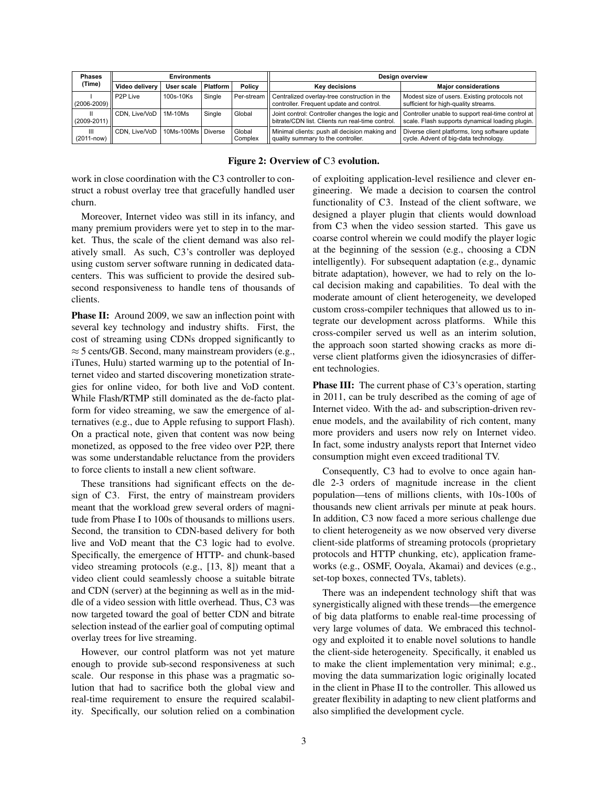| <b>Phases</b><br>(Time) | <b>Environments</b>   |                    |                 |                   | <b>Design overview</b>                                                                   |                                                                                                                                                      |  |
|-------------------------|-----------------------|--------------------|-----------------|-------------------|------------------------------------------------------------------------------------------|------------------------------------------------------------------------------------------------------------------------------------------------------|--|
|                         | Video delivery        | User scale         | <b>Platform</b> | Policy            | <b>Kev decisions</b>                                                                     | <b>Maior considerations</b>                                                                                                                          |  |
| $(2006 - 2009)$         | P <sub>2</sub> P Live | 100s-10Ks          | Single          | Per-stream        | Centralized overlay-tree construction in the<br>controller. Frequent update and control. | Modest size of users. Existing protocols not<br>sufficient for high-quality streams.                                                                 |  |
| Ш<br>(2009-2011)        | CDN. Live/VoD         | 1M-10Ms            | Single          | Global            | bitrate/CDN list. Clients run real-time control.                                         | Joint control: Controller changes the logic and Controller unable to support real-time control at<br>scale. Flash supports dynamical loading plugin. |  |
| Ш<br>$(2011 - now)$     | CDN. Live/VoD         | 10Ms-100Ms Diverse |                 | Global<br>Complex | Minimal clients: push all decision making and<br>quality summary to the controller.      | Diverse client platforms, long software update<br>cycle. Advent of big-data technology.                                                              |  |

|  |  | Figure 2: Overview of C3 evolution. |
|--|--|-------------------------------------|
|  |  |                                     |

work in close coordination with the C3 controller to construct a robust overlay tree that gracefully handled user churn.

Moreover, Internet video was still in its infancy, and many premium providers were yet to step in to the market. Thus, the scale of the client demand was also relatively small. As such, C3's controller was deployed using custom server software running in dedicated datacenters. This was sufficient to provide the desired subsecond responsiveness to handle tens of thousands of clients.

Phase II: Around 2009, we saw an inflection point with several key technology and industry shifts. First, the cost of streaming using CDNs dropped significantly to  $\approx$  5 cents/GB. Second, many mainstream providers (e.g., iTunes, Hulu) started warming up to the potential of Internet video and started discovering monetization strategies for online video, for both live and VoD content. While Flash/RTMP still dominated as the de-facto platform for video streaming, we saw the emergence of alternatives (e.g., due to Apple refusing to support Flash). On a practical note, given that content was now being monetized, as opposed to the free video over P2P, there was some understandable reluctance from the providers to force clients to install a new client software.

These transitions had significant effects on the design of C3. First, the entry of mainstream providers meant that the workload grew several orders of magnitude from Phase I to 100s of thousands to millions users. Second, the transition to CDN-based delivery for both live and VoD meant that the C3 logic had to evolve. Specifically, the emergence of HTTP- and chunk-based video streaming protocols (e.g., [13, 8]) meant that a video client could seamlessly choose a suitable bitrate and CDN (server) at the beginning as well as in the middle of a video session with little overhead. Thus, C3 was now targeted toward the goal of better CDN and bitrate selection instead of the earlier goal of computing optimal overlay trees for live streaming.

However, our control platform was not yet mature enough to provide sub-second responsiveness at such scale. Our response in this phase was a pragmatic solution that had to sacrifice both the global view and real-time requirement to ensure the required scalability. Specifically, our solution relied on a combination of exploiting application-level resilience and clever engineering. We made a decision to coarsen the control functionality of C3. Instead of the client software, we designed a player plugin that clients would download from C3 when the video session started. This gave us coarse control wherein we could modify the player logic at the beginning of the session (e.g., choosing a CDN intelligently). For subsequent adaptation (e.g., dynamic bitrate adaptation), however, we had to rely on the local decision making and capabilities. To deal with the moderate amount of client heterogeneity, we developed custom cross-compiler techniques that allowed us to integrate our development across platforms. While this cross-compiler served us well as an interim solution, the approach soon started showing cracks as more diverse client platforms given the idiosyncrasies of different technologies.

**Phase III:** The current phase of C3's operation, starting in 2011, can be truly described as the coming of age of Internet video. With the ad- and subscription-driven revenue models, and the availability of rich content, many more providers and users now rely on Internet video. In fact, some industry analysts report that Internet video consumption might even exceed traditional TV.

Consequently, C3 had to evolve to once again handle 2-3 orders of magnitude increase in the client population—tens of millions clients, with 10s-100s of thousands new client arrivals per minute at peak hours. In addition, C3 now faced a more serious challenge due to client heterogeneity as we now observed very diverse client-side platforms of streaming protocols (proprietary protocols and HTTP chunking, etc), application frameworks (e.g., OSMF, Ooyala, Akamai) and devices (e.g., set-top boxes, connected TVs, tablets).

There was an independent technology shift that was synergistically aligned with these trends—the emergence of big data platforms to enable real-time processing of very large volumes of data. We embraced this technology and exploited it to enable novel solutions to handle the client-side heterogeneity. Specifically, it enabled us to make the client implementation very minimal; e.g., moving the data summarization logic originally located in the client in Phase II to the controller. This allowed us greater flexibility in adapting to new client platforms and also simplified the development cycle.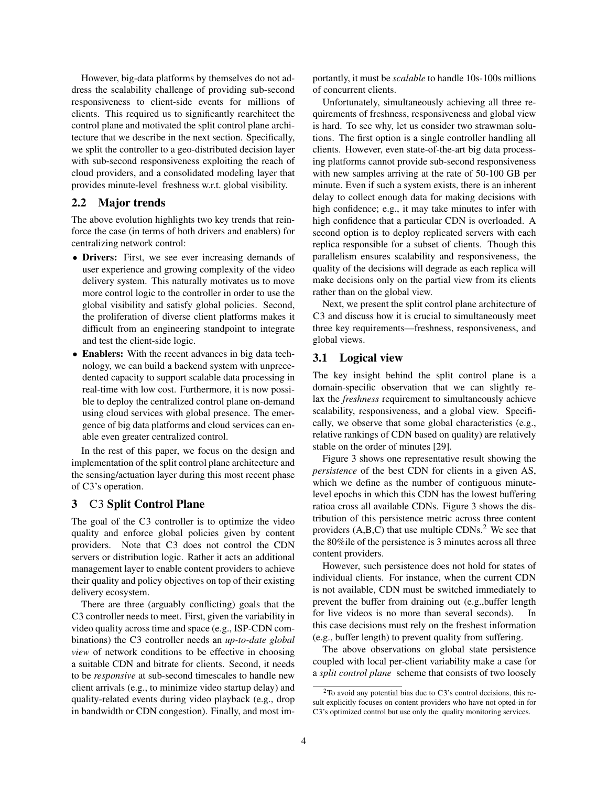However, big-data platforms by themselves do not address the scalability challenge of providing sub-second responsiveness to client-side events for millions of clients. This required us to significantly rearchitect the control plane and motivated the split control plane architecture that we describe in the next section. Specifically, we split the controller to a geo-distributed decision layer with sub-second responsiveness exploiting the reach of cloud providers, and a consolidated modeling layer that provides minute-level freshness w.r.t. global visibility.

### 2.2 Major trends

The above evolution highlights two key trends that reinforce the case (in terms of both drivers and enablers) for centralizing network control:

- Drivers: First, we see ever increasing demands of user experience and growing complexity of the video delivery system. This naturally motivates us to move more control logic to the controller in order to use the global visibility and satisfy global policies. Second, the proliferation of diverse client platforms makes it difficult from an engineering standpoint to integrate and test the client-side logic.
- Enablers: With the recent advances in big data technology, we can build a backend system with unprecedented capacity to support scalable data processing in real-time with low cost. Furthermore, it is now possible to deploy the centralized control plane on-demand using cloud services with global presence. The emergence of big data platforms and cloud services can enable even greater centralized control.

In the rest of this paper, we focus on the design and implementation of the split control plane architecture and the sensing/actuation layer during this most recent phase of C3's operation.

### 3 C3 Split Control Plane

The goal of the C3 controller is to optimize the video quality and enforce global policies given by content providers. Note that C3 does not control the CDN servers or distribution logic. Rather it acts an additional management layer to enable content providers to achieve their quality and policy objectives on top of their existing delivery ecosystem.

There are three (arguably conflicting) goals that the C3 controller needs to meet. First, given the variability in video quality across time and space (e.g., ISP-CDN combinations) the C3 controller needs an *up-to-date global view* of network conditions to be effective in choosing a suitable CDN and bitrate for clients. Second, it needs to be *responsive* at sub-second timescales to handle new client arrivals (e.g., to minimize video startup delay) and quality-related events during video playback (e.g., drop in bandwidth or CDN congestion). Finally, and most importantly, it must be *scalable* to handle 10s-100s millions of concurrent clients.

Unfortunately, simultaneously achieving all three requirements of freshness, responsiveness and global view is hard. To see why, let us consider two strawman solutions. The first option is a single controller handling all clients. However, even state-of-the-art big data processing platforms cannot provide sub-second responsiveness with new samples arriving at the rate of 50-100 GB per minute. Even if such a system exists, there is an inherent delay to collect enough data for making decisions with high confidence; e.g., it may take minutes to infer with high confidence that a particular CDN is overloaded. A second option is to deploy replicated servers with each replica responsible for a subset of clients. Though this parallelism ensures scalability and responsiveness, the quality of the decisions will degrade as each replica will make decisions only on the partial view from its clients rather than on the global view.

Next, we present the split control plane architecture of C3 and discuss how it is crucial to simultaneously meet three key requirements—freshness, responsiveness, and global views.

### 3.1 Logical view

The key insight behind the split control plane is a domain-specific observation that we can slightly relax the *freshness* requirement to simultaneously achieve scalability, responsiveness, and a global view. Specifically, we observe that some global characteristics (e.g., relative rankings of CDN based on quality) are relatively stable on the order of minutes [29].

Figure 3 shows one representative result showing the *persistence* of the best CDN for clients in a given AS, which we define as the number of contiguous minutelevel epochs in which this CDN has the lowest buffering ratioa cross all available CDNs. Figure 3 shows the distribution of this persistence metric across three content providers  $(A, B, C)$  that use multiple CDNs.<sup>2</sup> We see that the 80%ile of the persistence is 3 minutes across all three content providers.

However, such persistence does not hold for states of individual clients. For instance, when the current CDN is not available, CDN must be switched immediately to prevent the buffer from draining out (e.g.,buffer length for live videos is no more than several seconds). In this case decisions must rely on the freshest information (e.g., buffer length) to prevent quality from suffering.

The above observations on global state persistence coupled with local per-client variability make a case for a *split control plane* scheme that consists of two loosely

 $2$ To avoid any potential bias due to C3's control decisions, this result explicitly focuses on content providers who have not opted-in for C3's optimized control but use only the quality monitoring services.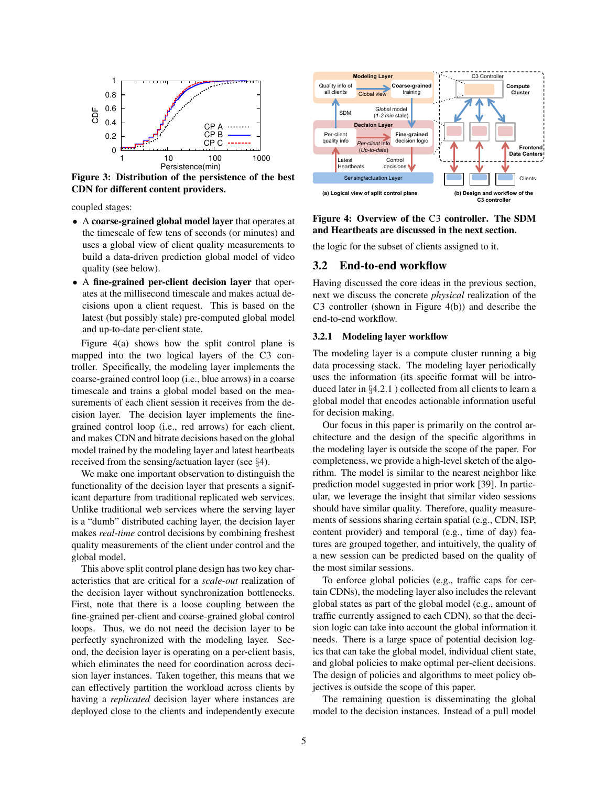

Figure 3: Distribution of the persistence of the best CDN for different content providers.

coupled stages:

- A coarse-grained global model layer that operates at the timescale of few tens of seconds (or minutes) and uses a global view of client quality measurements to build a data-driven prediction global model of video quality (see below).
- A fine-grained per-client decision layer that operates at the millisecond timescale and makes actual decisions upon a client request. This is based on the latest (but possibly stale) pre-computed global model and up-to-date per-client state.

Figure 4(a) shows how the split control plane is mapped into the two logical layers of the C3 controller. Specifically, the modeling layer implements the coarse-grained control loop (i.e., blue arrows) in a coarse timescale and trains a global model based on the measurements of each client session it receives from the decision layer. The decision layer implements the finegrained control loop (i.e., red arrows) for each client, and makes CDN and bitrate decisions based on the global model trained by the modeling layer and latest heartbeats received from the sensing/actuation layer (see §4).

We make one important observation to distinguish the functionality of the decision layer that presents a significant departure from traditional replicated web services. Unlike traditional web services where the serving layer is a "dumb" distributed caching layer, the decision layer makes *real-time* control decisions by combining freshest quality measurements of the client under control and the global model.

This above split control plane design has two key characteristics that are critical for a *scale-out* realization of the decision layer without synchronization bottlenecks. First, note that there is a loose coupling between the fine-grained per-client and coarse-grained global control loops. Thus, we do not need the decision layer to be perfectly synchronized with the modeling layer. Second, the decision layer is operating on a per-client basis, which eliminates the need for coordination across decision layer instances. Taken together, this means that we can effectively partition the workload across clients by having a *replicated* decision layer where instances are deployed close to the clients and independently execute



Figure 4: Overview of the C3 controller. The SDM and Heartbeats are discussed in the next section.

the logic for the subset of clients assigned to it.

### 3.2 End-to-end workflow

Having discussed the core ideas in the previous section, next we discuss the concrete *physical* realization of the C3 controller (shown in Figure 4(b)) and describe the end-to-end workflow.

#### 3.2.1 Modeling layer workflow

The modeling layer is a compute cluster running a big data processing stack. The modeling layer periodically uses the information (its specific format will be introduced later in §4.2.1 ) collected from all clients to learn a global model that encodes actionable information useful for decision making.

Our focus in this paper is primarily on the control architecture and the design of the specific algorithms in the modeling layer is outside the scope of the paper. For completeness, we provide a high-level sketch of the algorithm. The model is similar to the nearest neighbor like prediction model suggested in prior work [39]. In particular, we leverage the insight that similar video sessions should have similar quality. Therefore, quality measurements of sessions sharing certain spatial (e.g., CDN, ISP, content provider) and temporal (e.g., time of day) features are grouped together, and intuitively, the quality of a new session can be predicted based on the quality of the most similar sessions.

To enforce global policies (e.g., traffic caps for certain CDNs), the modeling layer also includes the relevant global states as part of the global model (e.g., amount of traffic currently assigned to each CDN), so that the decision logic can take into account the global information it needs. There is a large space of potential decision logics that can take the global model, individual client state, and global policies to make optimal per-client decisions. The design of policies and algorithms to meet policy objectives is outside the scope of this paper.

The remaining question is disseminating the global model to the decision instances. Instead of a pull model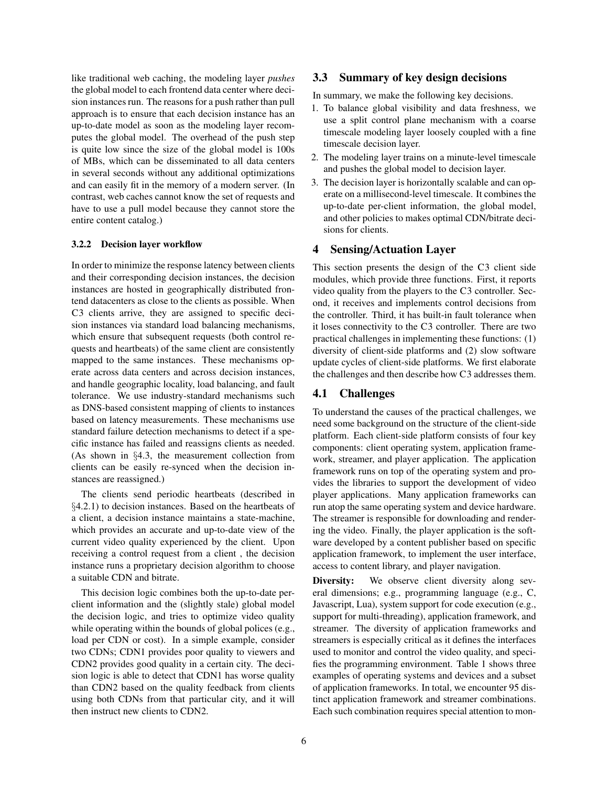like traditional web caching, the modeling layer *pushes* the global model to each frontend data center where decision instances run. The reasons for a push rather than pull approach is to ensure that each decision instance has an up-to-date model as soon as the modeling layer recomputes the global model. The overhead of the push step is quite low since the size of the global model is 100s of MBs, which can be disseminated to all data centers in several seconds without any additional optimizations and can easily fit in the memory of a modern server. (In contrast, web caches cannot know the set of requests and have to use a pull model because they cannot store the entire content catalog.)

#### 3.2.2 Decision layer workflow

In order to minimize the response latency between clients and their corresponding decision instances, the decision instances are hosted in geographically distributed frontend datacenters as close to the clients as possible. When C3 clients arrive, they are assigned to specific decision instances via standard load balancing mechanisms, which ensure that subsequent requests (both control requests and heartbeats) of the same client are consistently mapped to the same instances. These mechanisms operate across data centers and across decision instances, and handle geographic locality, load balancing, and fault tolerance. We use industry-standard mechanisms such as DNS-based consistent mapping of clients to instances based on latency measurements. These mechanisms use standard failure detection mechanisms to detect if a specific instance has failed and reassigns clients as needed. (As shown in §4.3, the measurement collection from clients can be easily re-synced when the decision instances are reassigned.)

The clients send periodic heartbeats (described in §4.2.1) to decision instances. Based on the heartbeats of a client, a decision instance maintains a state-machine, which provides an accurate and up-to-date view of the current video quality experienced by the client. Upon receiving a control request from a client , the decision instance runs a proprietary decision algorithm to choose a suitable CDN and bitrate.

This decision logic combines both the up-to-date perclient information and the (slightly stale) global model the decision logic, and tries to optimize video quality while operating within the bounds of global polices (e.g., load per CDN or cost). In a simple example, consider two CDNs; CDN1 provides poor quality to viewers and CDN2 provides good quality in a certain city. The decision logic is able to detect that CDN1 has worse quality than CDN2 based on the quality feedback from clients using both CDNs from that particular city, and it will then instruct new clients to CDN2.

### 3.3 Summary of key design decisions

In summary, we make the following key decisions.

- 1. To balance global visibility and data freshness, we use a split control plane mechanism with a coarse timescale modeling layer loosely coupled with a fine timescale decision layer.
- 2. The modeling layer trains on a minute-level timescale and pushes the global model to decision layer.
- 3. The decision layer is horizontally scalable and can operate on a millisecond-level timescale. It combines the up-to-date per-client information, the global model, and other policies to makes optimal CDN/bitrate decisions for clients.

### 4 Sensing/Actuation Layer

This section presents the design of the C3 client side modules, which provide three functions. First, it reports video quality from the players to the C3 controller. Second, it receives and implements control decisions from the controller. Third, it has built-in fault tolerance when it loses connectivity to the C3 controller. There are two practical challenges in implementing these functions: (1) diversity of client-side platforms and (2) slow software update cycles of client-side platforms. We first elaborate the challenges and then describe how C3 addresses them.

### 4.1 Challenges

To understand the causes of the practical challenges, we need some background on the structure of the client-side platform. Each client-side platform consists of four key components: client operating system, application framework, streamer, and player application. The application framework runs on top of the operating system and provides the libraries to support the development of video player applications. Many application frameworks can run atop the same operating system and device hardware. The streamer is responsible for downloading and rendering the video. Finally, the player application is the software developed by a content publisher based on specific application framework, to implement the user interface, access to content library, and player navigation.

Diversity: We observe client diversity along several dimensions; e.g., programming language (e.g., C, Javascript, Lua), system support for code execution (e.g., support for multi-threading), application framework, and streamer. The diversity of application frameworks and streamers is especially critical as it defines the interfaces used to monitor and control the video quality, and specifies the programming environment. Table 1 shows three examples of operating systems and devices and a subset of application frameworks. In total, we encounter 95 distinct application framework and streamer combinations. Each such combination requires special attention to mon-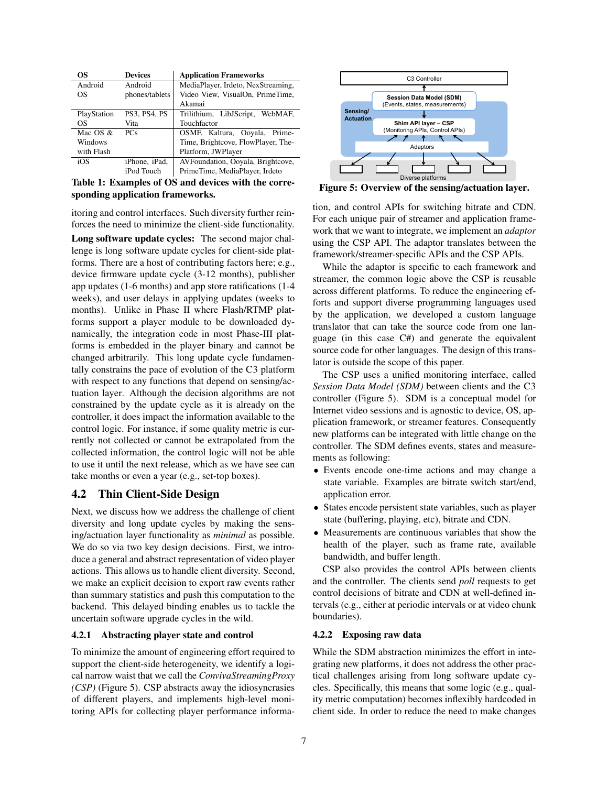| OS.         | <b>Devices</b>      | <b>Application Frameworks</b>      |
|-------------|---------------------|------------------------------------|
| Android     | Android             | MediaPlayer, Irdeto, NexStreaming, |
| OS          | phones/tablets      | Video View, VisualOn, PrimeTime,   |
|             |                     | Akamai                             |
| PlayStation | <b>PS3. PS4. PS</b> | Trilithium, LibJScript, WebMAF,    |
| OS          | Vita                | Touchfactor                        |
| Mac $OS &$  | <b>PCs</b>          | OSMF, Kaltura, Ooyala, Prime-      |
| Windows     |                     | Time, Brightcove, FlowPlayer, The- |
| with Flash  |                     | Platform, JWPlayer                 |
| iOS         | iPhone, iPad,       | AVFoundation, Ooyala, Brightcove,  |
|             | iPod Touch          | PrimeTime, MediaPlayer, Irdeto     |

Table 1: Examples of OS and devices with the corresponding application frameworks.

itoring and control interfaces. Such diversity further reinforces the need to minimize the client-side functionality.

Long software update cycles: The second major challenge is long software update cycles for client-side platforms. There are a host of contributing factors here; e.g., device firmware update cycle (3-12 months), publisher app updates (1-6 months) and app store ratifications (1-4 weeks), and user delays in applying updates (weeks to months). Unlike in Phase II where Flash/RTMP platforms support a player module to be downloaded dynamically, the integration code in most Phase-III platforms is embedded in the player binary and cannot be changed arbitrarily. This long update cycle fundamentally constrains the pace of evolution of the C3 platform with respect to any functions that depend on sensing/actuation layer. Although the decision algorithms are not constrained by the update cycle as it is already on the controller, it does impact the information available to the control logic. For instance, if some quality metric is currently not collected or cannot be extrapolated from the collected information, the control logic will not be able to use it until the next release, which as we have see can take months or even a year (e.g., set-top boxes).

### 4.2 Thin Client-Side Design

Next, we discuss how we address the challenge of client diversity and long update cycles by making the sensing/actuation layer functionality as *minimal* as possible. We do so via two key design decisions. First, we introduce a general and abstract representation of video player actions. This allows us to handle client diversity. Second, we make an explicit decision to export raw events rather than summary statistics and push this computation to the backend. This delayed binding enables us to tackle the uncertain software upgrade cycles in the wild.

### 4.2.1 Abstracting player state and control

To minimize the amount of engineering effort required to support the client-side heterogeneity, we identify a logical narrow waist that we call the *ConvivaStreamingProxy (CSP)* (Figure 5). CSP abstracts away the idiosyncrasies of different players, and implements high-level monitoring APIs for collecting player performance informa-



Figure 5: Overview of the sensing/actuation layer.

tion, and control APIs for switching bitrate and CDN. For each unique pair of streamer and application framework that we want to integrate, we implement an *adaptor* using the CSP API. The adaptor translates between the framework/streamer-specific APIs and the CSP APIs.

While the adaptor is specific to each framework and streamer, the common logic above the CSP is reusable across different platforms. To reduce the engineering efforts and support diverse programming languages used by the application, we developed a custom language translator that can take the source code from one language (in this case C#) and generate the equivalent source code for other languages. The design of this translator is outside the scope of this paper.

The CSP uses a unified monitoring interface, called *Session Data Model (SDM)* between clients and the C3 controller (Figure 5). SDM is a conceptual model for Internet video sessions and is agnostic to device, OS, application framework, or streamer features. Consequently new platforms can be integrated with little change on the controller. The SDM defines events, states and measurements as following:

- Events encode one-time actions and may change a state variable. Examples are bitrate switch start/end, application error.
- States encode persistent state variables, such as player state (buffering, playing, etc), bitrate and CDN.
- Measurements are continuous variables that show the health of the player, such as frame rate, available bandwidth, and buffer length.

CSP also provides the control APIs between clients and the controller. The clients send *poll* requests to get control decisions of bitrate and CDN at well-defined intervals (e.g., either at periodic intervals or at video chunk boundaries).

#### 4.2.2 Exposing raw data

While the SDM abstraction minimizes the effort in integrating new platforms, it does not address the other practical challenges arising from long software update cycles. Specifically, this means that some logic (e.g., quality metric computation) becomes inflexibly hardcoded in client side. In order to reduce the need to make changes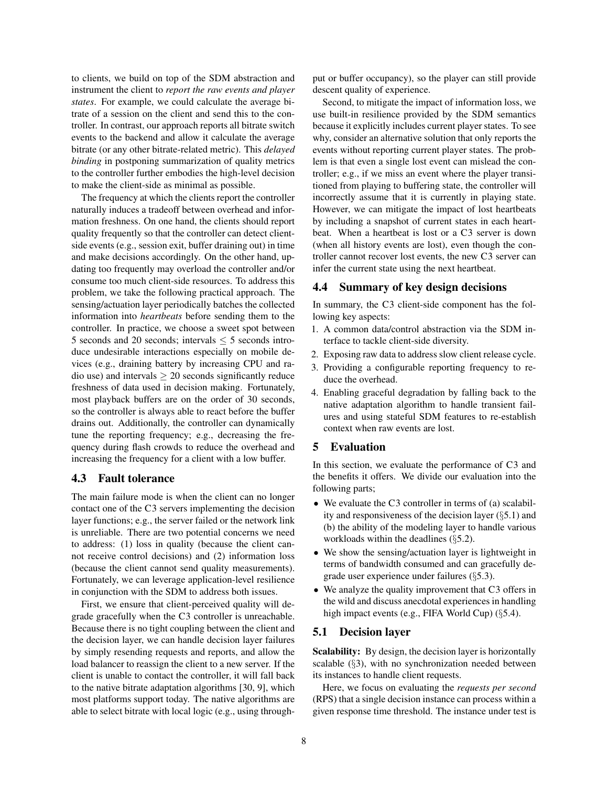to clients, we build on top of the SDM abstraction and instrument the client to *report the raw events and player states*. For example, we could calculate the average bitrate of a session on the client and send this to the controller. In contrast, our approach reports all bitrate switch events to the backend and allow it calculate the average bitrate (or any other bitrate-related metric). This *delayed binding* in postponing summarization of quality metrics to the controller further embodies the high-level decision to make the client-side as minimal as possible.

The frequency at which the clients report the controller naturally induces a tradeoff between overhead and information freshness. On one hand, the clients should report quality frequently so that the controller can detect clientside events (e.g., session exit, buffer draining out) in time and make decisions accordingly. On the other hand, updating too frequently may overload the controller and/or consume too much client-side resources. To address this problem, we take the following practical approach. The sensing/actuation layer periodically batches the collected information into *heartbeats* before sending them to the controller. In practice, we choose a sweet spot between 5 seconds and 20 seconds; intervals  $\leq$  5 seconds introduce undesirable interactions especially on mobile devices (e.g., draining battery by increasing CPU and radio use) and intervals  $\geq 20$  seconds significantly reduce freshness of data used in decision making. Fortunately, most playback buffers are on the order of 30 seconds, so the controller is always able to react before the buffer drains out. Additionally, the controller can dynamically tune the reporting frequency; e.g., decreasing the frequency during flash crowds to reduce the overhead and increasing the frequency for a client with a low buffer.

### 4.3 Fault tolerance

The main failure mode is when the client can no longer contact one of the C3 servers implementing the decision layer functions; e.g., the server failed or the network link is unreliable. There are two potential concerns we need to address: (1) loss in quality (because the client cannot receive control decisions) and (2) information loss (because the client cannot send quality measurements). Fortunately, we can leverage application-level resilience in conjunction with the SDM to address both issues.

First, we ensure that client-perceived quality will degrade gracefully when the C3 controller is unreachable. Because there is no tight coupling between the client and the decision layer, we can handle decision layer failures by simply resending requests and reports, and allow the load balancer to reassign the client to a new server. If the client is unable to contact the controller, it will fall back to the native bitrate adaptation algorithms [30, 9], which most platforms support today. The native algorithms are able to select bitrate with local logic (e.g., using throughput or buffer occupancy), so the player can still provide descent quality of experience.

Second, to mitigate the impact of information loss, we use built-in resilience provided by the SDM semantics because it explicitly includes current player states. To see why, consider an alternative solution that only reports the events without reporting current player states. The problem is that even a single lost event can mislead the controller; e.g., if we miss an event where the player transitioned from playing to buffering state, the controller will incorrectly assume that it is currently in playing state. However, we can mitigate the impact of lost heartbeats by including a snapshot of current states in each heartbeat. When a heartbeat is lost or a C3 server is down (when all history events are lost), even though the controller cannot recover lost events, the new C3 server can infer the current state using the next heartbeat.

### 4.4 Summary of key design decisions

In summary, the C3 client-side component has the following key aspects:

- 1. A common data/control abstraction via the SDM interface to tackle client-side diversity.
- 2. Exposing raw data to address slow client release cycle.
- 3. Providing a configurable reporting frequency to reduce the overhead.
- 4. Enabling graceful degradation by falling back to the native adaptation algorithm to handle transient failures and using stateful SDM features to re-establish context when raw events are lost.

### 5 Evaluation

In this section, we evaluate the performance of C3 and the benefits it offers. We divide our evaluation into the following parts;

- We evaluate the C3 controller in terms of (a) scalability and responsiveness of the decision layer (§5.1) and (b) the ability of the modeling layer to handle various workloads within the deadlines (§5.2).
- We show the sensing/actuation layer is lightweight in terms of bandwidth consumed and can gracefully degrade user experience under failures (§5.3).
- We analyze the quality improvement that C3 offers in the wild and discuss anecdotal experiences in handling high impact events (e.g., FIFA World Cup) (§5.4).

### 5.1 Decision layer

Scalability: By design, the decision layer is horizontally scalable (§3), with no synchronization needed between its instances to handle client requests.

Here, we focus on evaluating the *requests per second* (RPS) that a single decision instance can process within a given response time threshold. The instance under test is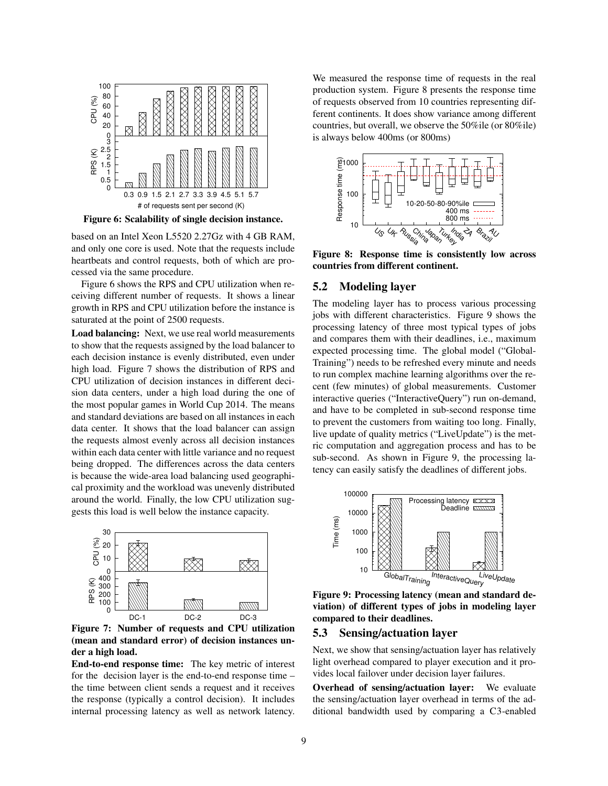

Figure 6: Scalability of single decision instance.

based on an Intel Xeon L5520 2.27Gz with 4 GB RAM, and only one core is used. Note that the requests include heartbeats and control requests, both of which are processed via the same procedure.

Figure 6 shows the RPS and CPU utilization when receiving different number of requests. It shows a linear growth in RPS and CPU utilization before the instance is saturated at the point of 2500 requests.

Load balancing: Next, we use real world measurements to show that the requests assigned by the load balancer to each decision instance is evenly distributed, even under high load. Figure 7 shows the distribution of RPS and CPU utilization of decision instances in different decision data centers, under a high load during the one of the most popular games in World Cup 2014. The means and standard deviations are based on all instances in each data center. It shows that the load balancer can assign the requests almost evenly across all decision instances within each data center with little variance and no request being dropped. The differences across the data centers is because the wide-area load balancing used geographical proximity and the workload was unevenly distributed around the world. Finally, the low CPU utilization suggests this load is well below the instance capacity.



Figure 7: Number of requests and CPU utilization (mean and standard error) of decision instances under a high load.

End-to-end response time: The key metric of interest for the decision layer is the end-to-end response time – the time between client sends a request and it receives the response (typically a control decision). It includes internal processing latency as well as network latency. We measured the response time of requests in the real production system. Figure 8 presents the response time of requests observed from 10 countries representing different continents. It does show variance among different countries, but overall, we observe the 50%ile (or 80%ile) is always below 400ms (or 800ms)



Figure 8: Response time is consistently low across countries from different continent.

### 5.2 Modeling layer

The modeling layer has to process various processing jobs with different characteristics. Figure 9 shows the processing latency of three most typical types of jobs and compares them with their deadlines, i.e., maximum expected processing time. The global model ("Global-Training") needs to be refreshed every minute and needs to run complex machine learning algorithms over the recent (few minutes) of global measurements. Customer interactive queries ("InteractiveQuery") run on-demand, and have to be completed in sub-second response time to prevent the customers from waiting too long. Finally, live update of quality metrics ("LiveUpdate") is the metric computation and aggregation process and has to be sub-second. As shown in Figure 9, the processing latency can easily satisfy the deadlines of different jobs.



Figure 9: Processing latency (mean and standard deviation) of different types of jobs in modeling layer compared to their deadlines.

### 5.3 Sensing/actuation layer

Next, we show that sensing/actuation layer has relatively light overhead compared to player execution and it provides local failover under decision layer failures.

Overhead of sensing/actuation layer: We evaluate the sensing/actuation layer overhead in terms of the additional bandwidth used by comparing a C3-enabled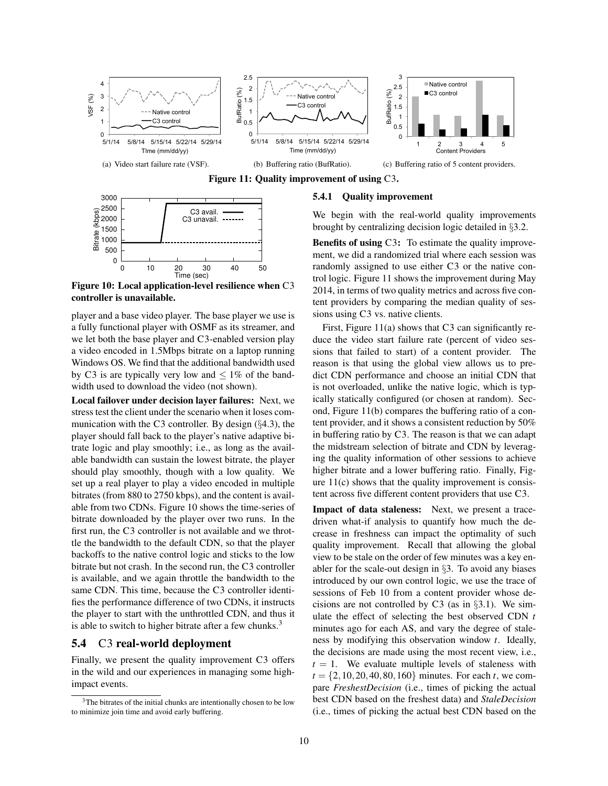



Figure 10: Local application-level resilience when C3 controller is unavailable.

player and a base video player. The base player we use is a fully functional player with OSMF as its streamer, and we let both the base player and C3-enabled version play a video encoded in 1.5Mbps bitrate on a laptop running Windows OS. We find that the additional bandwidth used by C3 is are typically very low and  $\leq 1\%$  of the bandwidth used to download the video (not shown).

Local failover under decision layer failures: Next, we stress test the client under the scenario when it loses communication with the C3 controller. By design  $(\S 4.3)$ , the player should fall back to the player's native adaptive bitrate logic and play smoothly; i.e., as long as the available bandwidth can sustain the lowest bitrate, the player should play smoothly, though with a low quality. We set up a real player to play a video encoded in multiple bitrates (from 880 to 2750 kbps), and the content is available from two CDNs. Figure 10 shows the time-series of bitrate downloaded by the player over two runs. In the first run, the C3 controller is not available and we throttle the bandwidth to the default CDN, so that the player backoffs to the native control logic and sticks to the low bitrate but not crash. In the second run, the C3 controller is available, and we again throttle the bandwidth to the same CDN. This time, because the C3 controller identifies the performance difference of two CDNs, it instructs the player to start with the unthrottled CDN, and thus it is able to switch to higher bitrate after a few chunks. $3$ 

### 5.4 C3 real-world deployment

Finally, we present the quality improvement C3 offers in the wild and our experiences in managing some highimpact events.

#### 5.4.1 Quality improvement

We begin with the real-world quality improvements brought by centralizing decision logic detailed in §3.2.

Benefits of using C3: To estimate the quality improvement, we did a randomized trial where each session was randomly assigned to use either C3 or the native control logic. Figure 11 shows the improvement during May 2014, in terms of two quality metrics and across five content providers by comparing the median quality of sessions using C3 vs. native clients.

First, Figure 11(a) shows that C3 can significantly reduce the video start failure rate (percent of video sessions that failed to start) of a content provider. The reason is that using the global view allows us to predict CDN performance and choose an initial CDN that is not overloaded, unlike the native logic, which is typically statically configured (or chosen at random). Second, Figure 11(b) compares the buffering ratio of a content provider, and it shows a consistent reduction by 50% in buffering ratio by C3. The reason is that we can adapt the midstream selection of bitrate and CDN by leveraging the quality information of other sessions to achieve higher bitrate and a lower buffering ratio. Finally, Figure  $11(c)$  shows that the quality improvement is consistent across five different content providers that use C3.

Impact of data staleness: Next, we present a tracedriven what-if analysis to quantify how much the decrease in freshness can impact the optimality of such quality improvement. Recall that allowing the global view to be stale on the order of few minutes was a key enabler for the scale-out design in §3. To avoid any biases introduced by our own control logic, we use the trace of sessions of Feb 10 from a content provider whose decisions are not controlled by C3 (as in  $\S 3.1$ ). We simulate the effect of selecting the best observed CDN *t* minutes ago for each AS, and vary the degree of staleness by modifying this observation window *t*. Ideally, the decisions are made using the most recent view, i.e.,  $t = 1$ . We evaluate multiple levels of staleness with  $t = \{2, 10, 20, 40, 80, 160\}$  minutes. For each *t*, we compare *FreshestDecision* (i.e., times of picking the actual best CDN based on the freshest data) and *StaleDecision* (i.e., times of picking the actual best CDN based on the

<sup>&</sup>lt;sup>3</sup>The bitrates of the initial chunks are intentionally chosen to be low to minimize join time and avoid early buffering.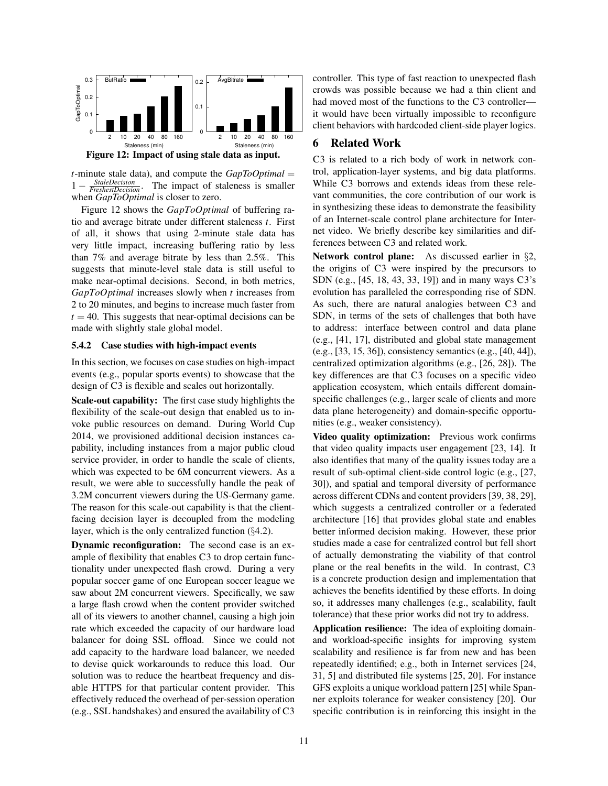

*t*-minute stale data), and compute the *GapToOptimal* = 1 − *StaleDecision FreshestDecision* . The impact of staleness is smaller when *GapToOptimal* is closer to zero.

Figure 12 shows the *GapToOptimal* of buffering ratio and average bitrate under different staleness *t*. First of all, it shows that using 2-minute stale data has very little impact, increasing buffering ratio by less than 7% and average bitrate by less than 2.5%. This suggests that minute-level stale data is still useful to make near-optimal decisions. Second, in both metrics, *GapToOptimal* increases slowly when *t* increases from 2 to 20 minutes, and begins to increase much faster from  $t = 40$ . This suggests that near-optimal decisions can be made with slightly stale global model.

#### 5.4.2 Case studies with high-impact events

In this section, we focuses on case studies on high-impact events (e.g., popular sports events) to showcase that the design of C3 is flexible and scales out horizontally.

Scale-out capability: The first case study highlights the flexibility of the scale-out design that enabled us to invoke public resources on demand. During World Cup 2014, we provisioned additional decision instances capability, including instances from a major public cloud service provider, in order to handle the scale of clients, which was expected to be 6M concurrent viewers. As a result, we were able to successfully handle the peak of 3.2M concurrent viewers during the US-Germany game. The reason for this scale-out capability is that the clientfacing decision layer is decoupled from the modeling layer, which is the only centralized function  $(\S 4.2)$ .

Dynamic reconfiguration: The second case is an example of flexibility that enables C3 to drop certain functionality under unexpected flash crowd. During a very popular soccer game of one European soccer league we saw about 2M concurrent viewers. Specifically, we saw a large flash crowd when the content provider switched all of its viewers to another channel, causing a high join rate which exceeded the capacity of our hardware load balancer for doing SSL offload. Since we could not add capacity to the hardware load balancer, we needed to devise quick workarounds to reduce this load. Our solution was to reduce the heartbeat frequency and disable HTTPS for that particular content provider. This effectively reduced the overhead of per-session operation (e.g., SSL handshakes) and ensured the availability of C3 controller. This type of fast reaction to unexpected flash crowds was possible because we had a thin client and had moved most of the functions to the C3 controller it would have been virtually impossible to reconfigure client behaviors with hardcoded client-side player logics.

### 6 Related Work

C3 is related to a rich body of work in network control, application-layer systems, and big data platforms. While C3 borrows and extends ideas from these relevant communities, the core contribution of our work is in synthesizing these ideas to demonstrate the feasibility of an Internet-scale control plane architecture for Internet video. We briefly describe key similarities and differences between C3 and related work.

Network control plane: As discussed earlier in §2, the origins of C3 were inspired by the precursors to SDN (e.g., [45, 18, 43, 33, 19]) and in many ways C3's evolution has paralleled the corresponding rise of SDN. As such, there are natural analogies between C3 and SDN, in terms of the sets of challenges that both have to address: interface between control and data plane (e.g., [41, 17], distributed and global state management (e.g., [33, 15, 36]), consistency semantics (e.g., [40, 44]), centralized optimization algorithms (e.g., [26, 28]). The key differences are that C3 focuses on a specific video application ecosystem, which entails different domainspecific challenges (e.g., larger scale of clients and more data plane heterogeneity) and domain-specific opportunities (e.g., weaker consistency).

Video quality optimization: Previous work confirms that video quality impacts user engagement [23, 14]. It also identifies that many of the quality issues today are a result of sub-optimal client-side control logic (e.g., [27, 30]), and spatial and temporal diversity of performance across different CDNs and content providers [39, 38, 29], which suggests a centralized controller or a federated architecture [16] that provides global state and enables better informed decision making. However, these prior studies made a case for centralized control but fell short of actually demonstrating the viability of that control plane or the real benefits in the wild. In contrast, C3 is a concrete production design and implementation that achieves the benefits identified by these efforts. In doing so, it addresses many challenges (e.g., scalability, fault tolerance) that these prior works did not try to address.

Application resilience: The idea of exploiting domainand workload-specific insights for improving system scalability and resilience is far from new and has been repeatedly identified; e.g., both in Internet services [24, 31, 5] and distributed file systems [25, 20]. For instance GFS exploits a unique workload pattern [25] while Spanner exploits tolerance for weaker consistency [20]. Our specific contribution is in reinforcing this insight in the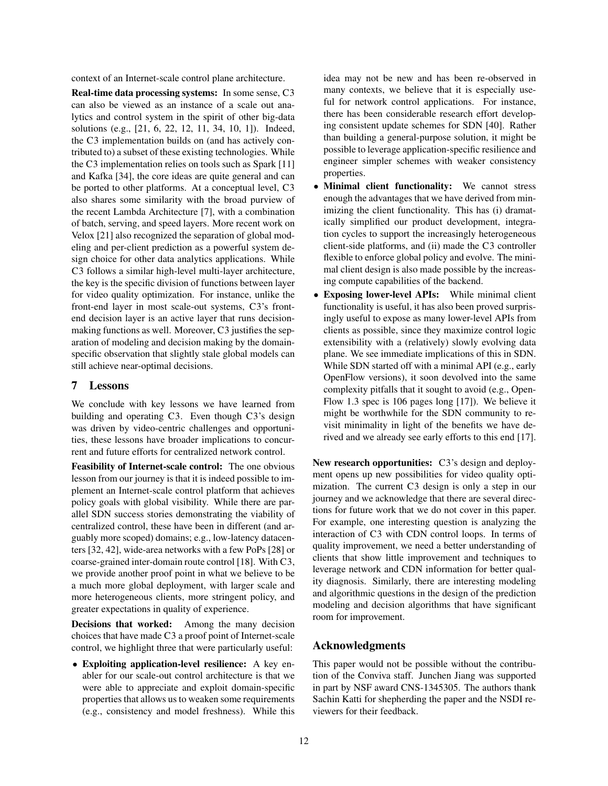context of an Internet-scale control plane architecture.

Real-time data processing systems: In some sense, C3 can also be viewed as an instance of a scale out analytics and control system in the spirit of other big-data solutions (e.g., [21, 6, 22, 12, 11, 34, 10, 1]). Indeed, the C3 implementation builds on (and has actively contributed to) a subset of these existing technologies. While the C3 implementation relies on tools such as Spark [11] and Kafka [34], the core ideas are quite general and can be ported to other platforms. At a conceptual level, C3 also shares some similarity with the broad purview of the recent Lambda Architecture [7], with a combination of batch, serving, and speed layers. More recent work on Velox [21] also recognized the separation of global modeling and per-client prediction as a powerful system design choice for other data analytics applications. While C3 follows a similar high-level multi-layer architecture, the key is the specific division of functions between layer for video quality optimization. For instance, unlike the front-end layer in most scale-out systems, C3's frontend decision layer is an active layer that runs decisionmaking functions as well. Moreover, C3 justifies the separation of modeling and decision making by the domainspecific observation that slightly stale global models can still achieve near-optimal decisions.

### 7 Lessons

We conclude with key lessons we have learned from building and operating C3. Even though C3's design was driven by video-centric challenges and opportunities, these lessons have broader implications to concurrent and future efforts for centralized network control.

Feasibility of Internet-scale control: The one obvious lesson from our journey is that it is indeed possible to implement an Internet-scale control platform that achieves policy goals with global visibility. While there are parallel SDN success stories demonstrating the viability of centralized control, these have been in different (and arguably more scoped) domains; e.g., low-latency datacenters [32, 42], wide-area networks with a few PoPs [28] or coarse-grained inter-domain route control [18]. With C3, we provide another proof point in what we believe to be a much more global deployment, with larger scale and more heterogeneous clients, more stringent policy, and greater expectations in quality of experience.

Decisions that worked: Among the many decision choices that have made C3 a proof point of Internet-scale control, we highlight three that were particularly useful:

• Exploiting application-level resilience: A key enabler for our scale-out control architecture is that we were able to appreciate and exploit domain-specific properties that allows us to weaken some requirements (e.g., consistency and model freshness). While this idea may not be new and has been re-observed in many contexts, we believe that it is especially useful for network control applications. For instance, there has been considerable research effort developing consistent update schemes for SDN [40]. Rather than building a general-purpose solution, it might be possible to leverage application-specific resilience and engineer simpler schemes with weaker consistency properties.

- Minimal client functionality: We cannot stress enough the advantages that we have derived from minimizing the client functionality. This has (i) dramatically simplified our product development, integration cycles to support the increasingly heterogeneous client-side platforms, and (ii) made the C3 controller flexible to enforce global policy and evolve. The minimal client design is also made possible by the increasing compute capabilities of the backend.
- Exposing lower-level APIs: While minimal client functionality is useful, it has also been proved surprisingly useful to expose as many lower-level APIs from clients as possible, since they maximize control logic extensibility with a (relatively) slowly evolving data plane. We see immediate implications of this in SDN. While SDN started off with a minimal API (e.g., early OpenFlow versions), it soon devolved into the same complexity pitfalls that it sought to avoid (e.g., Open-Flow 1.3 spec is 106 pages long [17]). We believe it might be worthwhile for the SDN community to revisit minimality in light of the benefits we have derived and we already see early efforts to this end [17].

New research opportunities: C3's design and deployment opens up new possibilities for video quality optimization. The current C3 design is only a step in our journey and we acknowledge that there are several directions for future work that we do not cover in this paper. For example, one interesting question is analyzing the interaction of C3 with CDN control loops. In terms of quality improvement, we need a better understanding of clients that show little improvement and techniques to leverage network and CDN information for better quality diagnosis. Similarly, there are interesting modeling and algorithmic questions in the design of the prediction modeling and decision algorithms that have significant room for improvement.

### Acknowledgments

This paper would not be possible without the contribution of the Conviva staff. Junchen Jiang was supported in part by NSF award CNS-1345305. The authors thank Sachin Katti for shepherding the paper and the NSDI reviewers for their feedback.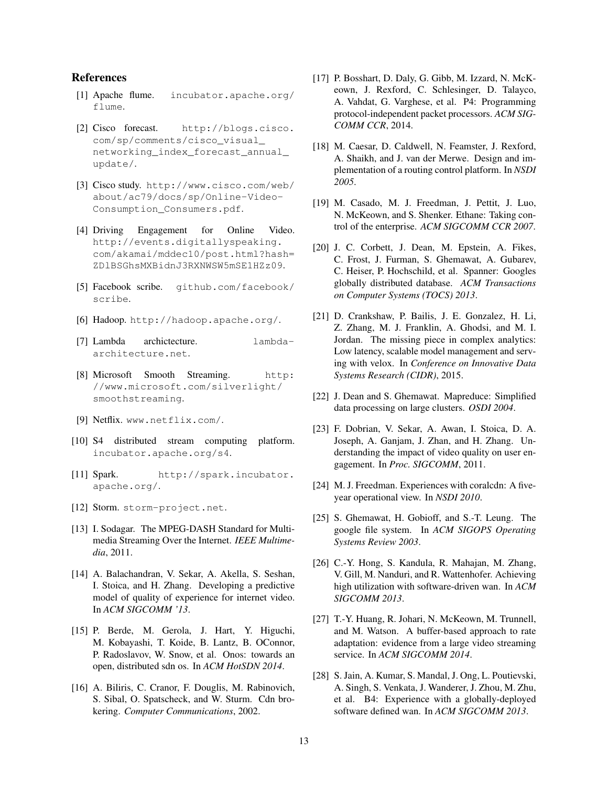## References

- [1] Apache flume. incubator.apache.org/ flume.
- [2] Cisco forecast. http://blogs.cisco. com/sp/comments/cisco\_visual\_ networking index forecast annual update/.
- [3] Cisco study. http://www.cisco.com/web/ about/ac79/docs/sp/Online-Video-Consumption\_Consumers.pdf.
- [4] Driving Engagement for Online Video. http://events.digitallyspeaking. com/akamai/mddec10/post.html?hash= ZDlBSGhsMXBidnJ3RXNWSW5mSE1HZz09.
- [5] Facebook scribe. github.com/facebook/ scribe.
- [6] Hadoop. http://hadoop.apache.org/.
- [7] Lambda archictecture. lambdaarchitecture.net.
- [8] Microsoft Smooth Streaming. http: //www.microsoft.com/silverlight/ smoothstreaming.
- [9] Netflix. www.netflix.com/.
- [10] S4 distributed stream computing platform. incubator.apache.org/s4.
- [11] Spark. http://spark.incubator. apache.org/.
- [12] Storm. storm-project.net.
- [13] I. Sodagar. The MPEG-DASH Standard for Multimedia Streaming Over the Internet. *IEEE Multimedia*, 2011.
- [14] A. Balachandran, V. Sekar, A. Akella, S. Seshan, I. Stoica, and H. Zhang. Developing a predictive model of quality of experience for internet video. In *ACM SIGCOMM '13*.
- [15] P. Berde, M. Gerola, J. Hart, Y. Higuchi, M. Kobayashi, T. Koide, B. Lantz, B. OConnor, P. Radoslavov, W. Snow, et al. Onos: towards an open, distributed sdn os. In *ACM HotSDN 2014*.
- [16] A. Biliris, C. Cranor, F. Douglis, M. Rabinovich, S. Sibal, O. Spatscheck, and W. Sturm. Cdn brokering. *Computer Communications*, 2002.
- [17] P. Bosshart, D. Daly, G. Gibb, M. Izzard, N. McKeown, J. Rexford, C. Schlesinger, D. Talayco, A. Vahdat, G. Varghese, et al. P4: Programming protocol-independent packet processors. *ACM SIG-COMM CCR*, 2014.
- [18] M. Caesar, D. Caldwell, N. Feamster, J. Rexford, A. Shaikh, and J. van der Merwe. Design and implementation of a routing control platform. In *NSDI 2005*.
- [19] M. Casado, M. J. Freedman, J. Pettit, J. Luo, N. McKeown, and S. Shenker. Ethane: Taking control of the enterprise. *ACM SIGCOMM CCR 2007*.
- [20] J. C. Corbett, J. Dean, M. Epstein, A. Fikes, C. Frost, J. Furman, S. Ghemawat, A. Gubarev, C. Heiser, P. Hochschild, et al. Spanner: Googles globally distributed database. *ACM Transactions on Computer Systems (TOCS) 2013*.
- [21] D. Crankshaw, P. Bailis, J. E. Gonzalez, H. Li, Z. Zhang, M. J. Franklin, A. Ghodsi, and M. I. Jordan. The missing piece in complex analytics: Low latency, scalable model management and serving with velox. In *Conference on Innovative Data Systems Research (CIDR)*, 2015.
- [22] J. Dean and S. Ghemawat. Mapreduce: Simplified data processing on large clusters. *OSDI 2004*.
- [23] F. Dobrian, V. Sekar, A. Awan, I. Stoica, D. A. Joseph, A. Ganjam, J. Zhan, and H. Zhang. Understanding the impact of video quality on user engagement. In *Proc. SIGCOMM*, 2011.
- [24] M. J. Freedman. Experiences with coralcdn: A fiveyear operational view. In *NSDI 2010*.
- [25] S. Ghemawat, H. Gobioff, and S.-T. Leung. The google file system. In *ACM SIGOPS Operating Systems Review 2003*.
- [26] C.-Y. Hong, S. Kandula, R. Mahajan, M. Zhang, V. Gill, M. Nanduri, and R. Wattenhofer. Achieving high utilization with software-driven wan. In *ACM SIGCOMM 2013*.
- [27] T.-Y. Huang, R. Johari, N. McKeown, M. Trunnell, and M. Watson. A buffer-based approach to rate adaptation: evidence from a large video streaming service. In *ACM SIGCOMM 2014*.
- [28] S. Jain, A. Kumar, S. Mandal, J. Ong, L. Poutievski, A. Singh, S. Venkata, J. Wanderer, J. Zhou, M. Zhu, et al. B4: Experience with a globally-deployed software defined wan. In *ACM SIGCOMM 2013*.